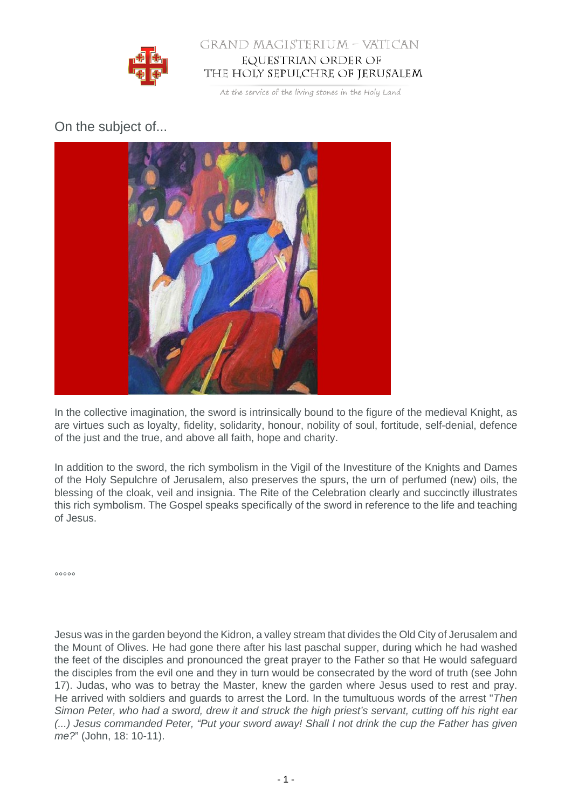

## GRAND MAGISTERIUM - VATICAN EQUESTRIAN ORDER OF THE HOLY SEPULCHRE OF JERUSALEM

At the service of the living stones in the Holy Land

## On the subject of...



In the collective imagination, the sword is intrinsically bound to the figure of the medieval Knight, as are virtues such as loyalty, fidelity, solidarity, honour, nobility of soul, fortitude, self-denial, defence of the just and the true, and above all faith, hope and charity.

In addition to the sword, the rich symbolism in the Vigil of the Investiture of the Knights and Dames of the Holy Sepulchre of Jerusalem, also preserves the spurs, the urn of perfumed (new) oils, the blessing of the cloak, veil and insignia. The Rite of the Celebration clearly and succinctly illustrates this rich symbolism. The Gospel speaks specifically of the sword in reference to the life and teaching of Jesus.

 $00000$ 

Jesus was in the garden beyond the Kidron, a valley stream that divides the Old City of Jerusalem and the Mount of Olives. He had gone there after his last paschal supper, during which he had washed the feet of the disciples and pronounced the great prayer to the Father so that He would safeguard the disciples from the evil one and they in turn would be consecrated by the word of truth (see John 17). Judas, who was to betray the Master, knew the garden where Jesus used to rest and pray. He arrived with soldiers and guards to arrest the Lord. In the tumultuous words of the arrest "Then Simon Peter, who had a sword, drew it and struck the high priest's servant, cutting off his right ear (...) Jesus commanded Peter, "Put your sword away! Shall I not drink the cup the Father has given me?" (John, 18: 10-11).